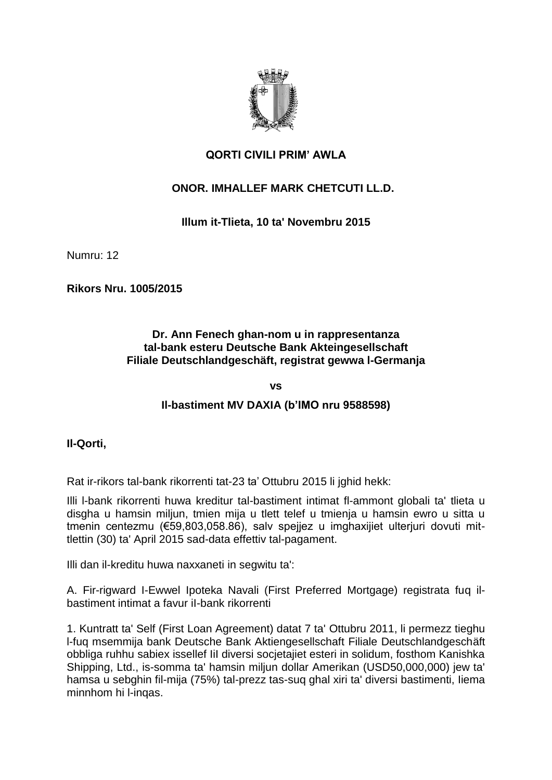

# **QORTI CIVILI PRIM' AWLA**

# **ONOR. IMHALLEF MARK CHETCUTI LL.D.**

## **Illum it-Tlieta, 10 ta' Novembru 2015**

Numru: 12

**Rikors Nru. 1005/2015**

#### **Dr. Ann Fenech ghan-nom u in rappresentanza tal-bank esteru Deutsche Bank Akteingesellschaft Filiale Deutschlandgeschäft, registrat gewwa l-Germanja**

**vs**

#### **Il-bastiment MV DAXIA (b'IMO nru 9588598)**

**Il-Qorti,**

Rat ir-rikors tal-bank rikorrenti tat-23 ta' Ottubru 2015 li jghid hekk:

Illi l-bank rikorrenti huwa kreditur tal-bastiment intimat fl-ammont globali ta' tlieta u disgha u hamsin miljun, tmien mija u tlett telef u tmienja u hamsin ewro u sitta u tmenin centezmu (€59,803,058.86), salv spejjez u imghaxijiet ulterjuri dovuti mittlettin (30) ta' April 2015 sad-data effettiv tal-pagament.

Illi dan il-kreditu huwa naxxaneti in segwitu ta':

A. Fir-rigward I-Ewwel Ipoteka Navali (First Preferred Mortgage) registrata fuq ilbastiment intimat a favur iI-bank rikorrenti

1. Kuntratt ta' Self (First Loan Agreement) datat 7 ta' Ottubru 2011, li permezz tieghu l-fuq msemmija bank Deutsche Bank Aktiengesellschaft Filiale Deutschlandgeschäft obbliga ruhhu sabiex issellef IiI diversi socjetajiet esteri in solidum, fosthom Kanishka Shipping, Ltd., is-somma ta' hamsin miljun dollar Amerikan (USD50,000,000) jew ta' hamsa u sebghin fil-mija (75%) tal-prezz tas-suq ghal xiri ta' diversi bastimenti, Iiema minnhom hi l-inqas.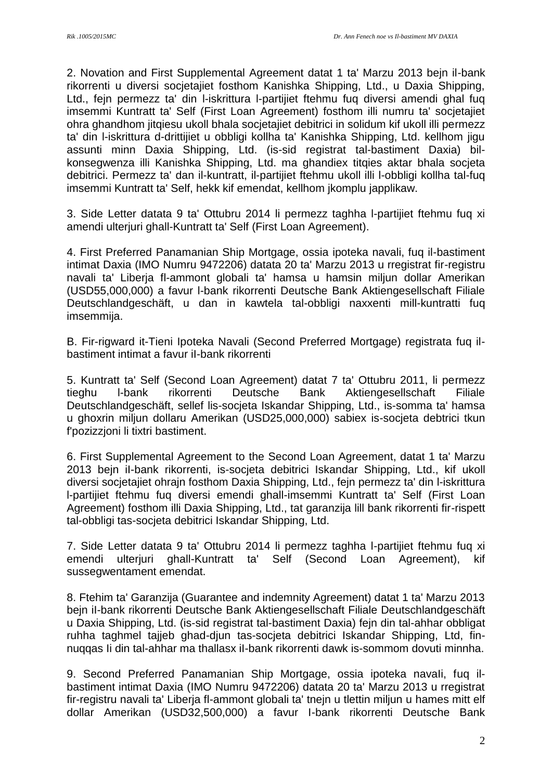2. Novation and First Supplemental Agreement datat 1 ta' Marzu 2013 bejn il-bank rikorrenti u diversi socjetajiet fosthom Kanishka Shipping, Ltd., u Daxia Shipping, Ltd., fejn permezz ta' din l-iskrittura l-partijiet ftehmu fuq diversi amendi ghal fuq imsemmi Kuntratt ta' Self (First Loan Agreement) fosthom illi numru ta' socjetajiet ohra ghandhom jitqiesu ukoll bhala socjetajiet debitrici in solidum kif ukoll illi permezz ta' din l-iskrittura d-drittijiet u obbligi kollha ta' Kanishka Shipping, Ltd. kellhom jigu assunti minn Daxia Shipping, Ltd. (is-sid registrat tal-bastiment Daxia) bilkonsegwenza illi Kanishka Shipping, Ltd. ma ghandiex titqies aktar bhala socjeta debitrici. Permezz ta' dan il-kuntratt, il-partijiet ftehmu ukoll illi l-obbligi kollha tal-fuq imsemmi Kuntratt ta' Self, hekk kif emendat, kellhom jkomplu japplikaw.

3. Side Letter datata 9 ta' Ottubru 2014 li permezz taghha l-partijiet ftehmu fuq xi amendi ulterjuri ghall-Kuntratt ta' Self (First Loan Agreement).

4. First Preferred Panamanian Ship Mortgage, ossia ipoteka navali, fuq il-bastiment intimat Daxia (IMO Numru 9472206) datata 20 ta' Marzu 2013 u rregistrat fir-registru navali ta' Liberja fl-ammont globali ta' hamsa u hamsin miljun dollar Amerikan (USD55,000,000) a favur l-bank rikorrenti Deutsche Bank Aktiengesellschaft Filiale Deutschlandgeschäft, u dan in kawtela tal-obbligi naxxenti mill-kuntratti fuq imsemmija.

B. Fir-rigward it-Tieni Ipoteka Navali (Second Preferred Mortgage) registrata fuq ilbastiment intimat a favur iI-bank rikorrenti

5. Kuntratt ta' Self (Second Loan Agreement) datat 7 ta' Ottubru 2011, li permezz tieghu l-bank rikorrenti Deutsche Bank Aktiengesellschaft Filiale Deutschlandgeschäft, sellef lis-socjeta Iskandar Shipping, Ltd., is-somma ta' hamsa u ghoxrin miljun dollaru Amerikan (USD25,000,000) sabiex is-socjeta debtrici tkun f'pozizzjoni li tixtri bastiment.

6. First Supplemental Agreement to the Second Loan Agreement, datat 1 ta' Marzu 2013 bejn iI-bank rikorrenti, is-socjeta debitrici Iskandar Shipping, Ltd., kif ukoll diversi socjetajiet ohrajn fosthom Daxia Shipping, Ltd., fejn permezz ta' din l-iskrittura l-partijiet ftehmu fuq diversi emendi ghall-imsemmi Kuntratt ta' Self (First Loan Agreement) fosthom illi Daxia Shipping, Ltd., tat garanzija lill bank rikorrenti fir-rispett tal-obbligi tas-socjeta debitrici Iskandar Shipping, Ltd.

7. Side Letter datata 9 ta' Ottubru 2014 li permezz taghha l-partijiet ftehmu fuq xi emendi ulterjuri ghall-Kuntratt ta' Self (Second Loan Agreement), kif sussegwentament emendat.

8. Ftehim ta' Garanzija (Guarantee and indemnity Agreement) datat 1 ta' Marzu 2013 bejn iI-bank rikorrenti Deutsche Bank Aktiengesellschaft Filiale Deutschlandgeschäft u Daxia Shipping, Ltd. (is-sid registrat tal-bastiment Daxia) fejn din tal-ahhar obbligat ruhha taghmel tajjeb ghad-djun tas-socjeta debitrici Iskandar Shipping, Ltd, finnuqqas Ii din tal-ahhar ma thallasx iI-bank rikorrenti dawk is-sommom dovuti minnha.

9. Second Preferred Panamanian Ship Mortgage, ossia ipoteka navali, fug ilbastiment intimat Daxia (IMO Numru 9472206) datata 20 ta' Marzu 2013 u rregistrat fir-registru navali ta' Liberja fl-ammont globali ta' tnejn u tlettin miljun u hames mitt elf dollar Amerikan (USD32,500,000) a favur I-bank rikorrenti Deutsche Bank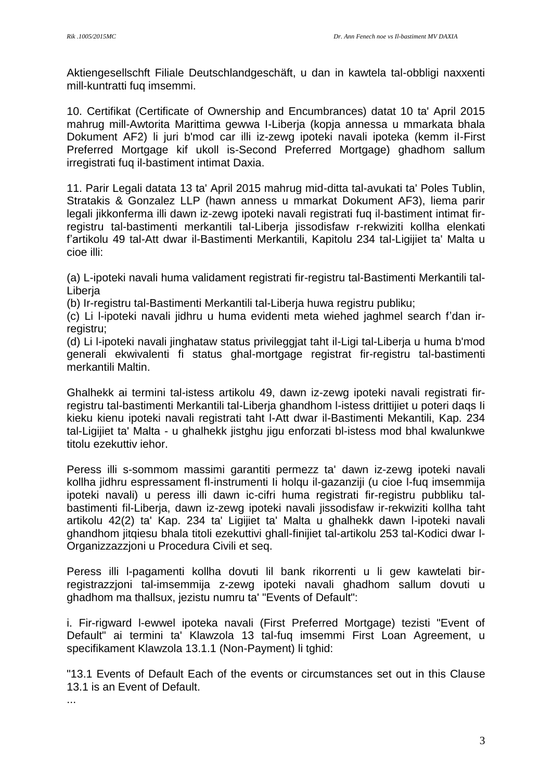Aktiengesellschft Filiale Deutschlandgeschäft, u dan in kawtela tal-obbligi naxxenti mill-kuntratti fuq imsemmi.

10. Certifikat (Certificate of Ownership and Encumbrances) datat 10 ta' April 2015 mahrug mill-Awtorita Marittima gewwa I-Liberja (kopja annessa u mmarkata bhala Dokument AF2) li juri b'mod car illi iz-zewg ipoteki navali ipoteka (kemm iI-First Preferred Mortgage kif ukoll is-Second Preferred Mortgage) ghadhom sallum irregistrati fuq il-bastiment intimat Daxia.

11. Parir Legali datata 13 ta' April 2015 mahrug mid-ditta tal-avukati ta' Poles Tublin, Stratakis & Gonzalez LLP (hawn anness u mmarkat Dokument AF3), liema parir legali jikkonferma illi dawn iz-zewg ipoteki navali registrati fuq il-bastiment intimat firregistru tal-bastimenti merkantili tal-Liberja jissodisfaw r-rekwiziti kollha elenkati f'artikolu 49 tal-Att dwar il-Bastimenti Merkantili, Kapitolu 234 tal-Ligijiet ta' Malta u cioe illi:

(a) L-ipoteki navali huma validament registrati fir-registru tal-Bastimenti Merkantili tal-Liberja

(b) Ir-registru tal-Bastimenti Merkantili tal-Liberja huwa registru publiku;

(c) Li l-ipoteki navali jidhru u huma evidenti meta wiehed jaghmel search f'dan irregistru;

(d) Li l-ipoteki navali jinghataw status privileggjat taht il-Ligi tal-Liberja u huma b'mod generali ekwivalenti fi status ghal-mortgage registrat fir-registru tal-bastimenti merkantili Maltin.

Ghalhekk ai termini tal-istess artikolu 49, dawn iz-zewg ipoteki navali registrati firregistru tal-bastimenti Merkantili tal-Liberia ghandhom l-istess drittijiet u poteri dags li kieku kienu ipoteki navali registrati taht l-Att dwar il-Bastimenti Mekantili, Kap. 234 tal-Ligijiet ta' Malta - u ghalhekk jistghu jigu enforzati bl-istess mod bhal kwalunkwe titolu ezekuttiv iehor.

Peress illi s-sommom massimi garantiti permezz ta' dawn iz-zewg ipoteki navali kollha jidhru espressament fl-instrumenti Ii holqu il-gazanziji (u cioe l-fuq imsemmija ipoteki navali) u peress illi dawn ic-cifri huma registrati fir-registru pubbliku talbastimenti fil-Liberja, dawn iz-zewg ipoteki navali jissodisfaw ir-rekwiziti kollha taht artikolu 42(2) ta' Kap. 234 ta' Ligijiet ta' Malta u ghalhekk dawn l-ipoteki navali ghandhom jitqiesu bhala titoli ezekuttivi ghall-finijiet tal-artikolu 253 tal-Kodici dwar l-Organizzazzjoni u Procedura Civili et seq.

Peress illi l-pagamenti kollha dovuti lil bank rikorrenti u li gew kawtelati birregistrazzjoni tal-imsemmija z-zewg ipoteki navali ghadhom sallum dovuti u ghadhom ma thallsux, jezistu numru ta' "Events of Default":

i. Fir-rigward l-ewwel ipoteka navali (First Preferred Mortgage) tezisti "Event of Default" ai termini ta' Klawzola 13 tal-fuq imsemmi First Loan Agreement, u specifikament Klawzola 13.1.1 (Non-Payment) li tghid:

"13.1 Events of Default Each of the events or circumstances set out in this Clause 13.1 is an Event of Default.

...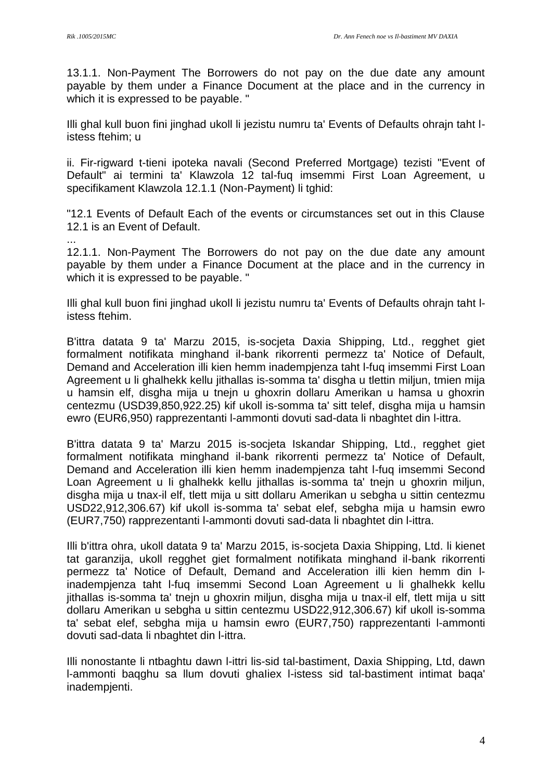13.1.1. Non-Payment The Borrowers do not pay on the due date any amount payable by them under a Finance Document at the place and in the currency in which it is expressed to be payable. "

Illi ghal kull buon fini jinghad ukoll li jezistu numru ta' Events of Defaults ohrajn taht listess ftehim; u

ii. Fir-rigward t-tieni ipoteka navali (Second Preferred Mortgage) tezisti "Event of Default" ai termini ta' Klawzola 12 tal-fuq imsemmi First Loan Agreement, u specifikament Klawzola 12.1.1 (Non-Payment) li tghid:

"12.1 Events of Default Each of the events or circumstances set out in this Clause 12.1 is an Event of Default.

... 12.1.1. Non-Payment The Borrowers do not pay on the due date any amount payable by them under a Finance Document at the place and in the currency in which it is expressed to be payable. "

Illi ghal kull buon fini jinghad ukoll li jezistu numru ta' Events of Defaults ohrajn taht listess ftehim.

B'ittra datata 9 ta' Marzu 2015, is-socjeta Daxia Shipping, Ltd., regghet giet formalment notifikata minghand il-bank rikorrenti permezz ta' Notice of Default, Demand and Acceleration illi kien hemm inadempjenza taht l-fuq imsemmi First Loan Agreement u li ghalhekk kellu jithallas is-somma ta' disgha u tlettin miljun, tmien mija u hamsin elf, disgha mija u tnejn u ghoxrin dollaru Amerikan u hamsa u ghoxrin centezmu (USD39,850,922.25) kif ukoll is-somma ta' sitt telef, disgha mija u hamsin ewro (EUR6,950) rapprezentanti l-ammonti dovuti sad-data li nbaghtet din l-ittra.

B'ittra datata 9 ta' Marzu 2015 is-socjeta Iskandar Shipping, Ltd., regghet giet formalment notifikata minghand il-bank rikorrenti permezz ta' Notice of Default, Demand and Acceleration illi kien hemm inadempjenza taht l-fuq imsemmi Second Loan Agreement u Ii ghalhekk kellu jithallas is-somma ta' tnejn u ghoxrin miljun, disgha mija u tnax-il elf, tlett mija u sitt dollaru Amerikan u sebgha u sittin centezmu USD22,912,306.67) kif ukoll is-somma ta' sebat elef, sebgha mija u hamsin ewro (EUR7,750) rapprezentanti l-ammonti dovuti sad-data li nbaghtet din l-ittra.

Illi b'ittra ohra, ukoll datata 9 ta' Marzu 2015, is-socjeta Daxia Shipping, Ltd. li kienet tat garanzija, ukoll regghet giet formalment notifikata minghand il-bank rikorrenti permezz ta' Notice of Default, Demand and Acceleration illi kien hemm din linadempjenza taht l-fuq imsemmi Second Loan Agreement u li ghalhekk kellu jithallas is-somma ta' tnejn u ghoxrin miljun, disgha mija u tnax-il elf, tlett mija u sitt dollaru Amerikan u sebgha u sittin centezmu USD22,912,306.67) kif ukoll is-somma ta' sebat elef, sebgha mija u hamsin ewro (EUR7,750) rapprezentanti l-ammonti dovuti sad-data li nbaghtet din l-ittra.

Illi nonostante li ntbaghtu dawn l-ittri lis-sid tal-bastiment, Daxia Shipping, Ltd, dawn l-ammonti baqghu sa llum dovuti ghaIiex l-istess sid tal-bastiment intimat baqa' inadempjenti.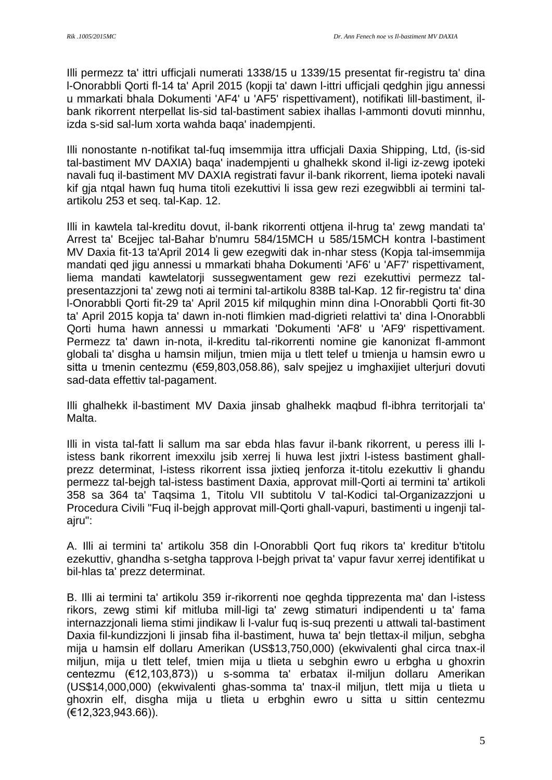Illi permezz ta' ittri ufficjaIi numerati 1338/15 u 1339/15 presentat fir-registru ta' dina l-Onorabbli Qorti fl-14 ta' April 2015 (kopji ta' dawn l-ittri ufficjaIi qedghin jigu annessi u mmarkati bhala Dokumenti 'AF4' u 'AF5' rispettivament), notifikati lill-bastiment, ilbank rikorrent nterpellat lis-sid tal-bastiment sabiex ihallas l-ammonti dovuti minnhu, izda s-sid sal-lum xorta wahda baqa' inadempjenti.

Illi nonostante n-notifikat tal-fuq imsemmija ittra ufficjali Daxia Shipping, Ltd, (is-sid tal-bastiment MV DAXIA) baqa' inadempjenti u ghalhekk skond il-ligi iz-zewg ipoteki navali fuq il-bastiment MV DAXIA registrati favur il-bank rikorrent, liema ipoteki navali kif gja ntqal hawn fuq huma titoli ezekuttivi li issa gew rezi ezegwibbli ai termini talartikolu 253 et seq. tal-Kap. 12.

Illi in kawtela tal-kreditu dovut, il-bank rikorrenti ottjena il-hrug ta' zewg mandati ta' Arrest ta' Bcejjec tal-Bahar b'numru 584/15MCH u 585/15MCH kontra l-bastiment MV Daxia fit-13 ta'April 2014 li gew ezegwiti dak in-nhar stess (Kopja tal-imsemmija mandati qed jigu annessi u mmarkati bhaha Dokumenti 'AF6' u 'AF7' rispettivament, liema mandati kawtelatorji sussegwentament gew rezi ezekuttivi permezz talpresentazzjoni ta' zewg noti ai termini tal-artikolu 838B tal-Kap. 12 fir-registru ta' dina l-Onorabbli Qorti fit-29 ta' April 2015 kif milqughin minn dina l-Onorabbli Qorti fit-30 ta' April 2015 kopja ta' dawn in-noti flimkien mad-digrieti relattivi ta' dina l-Onorabbli Qorti huma hawn annessi u mmarkati 'Dokumenti 'AF8' u 'AF9' rispettivament. Permezz ta' dawn in-nota, il-kreditu tal-rikorrenti nomine gie kanonizat fl-ammont globali ta' disgha u hamsin miljun, tmien mija u tlett telef u tmienja u hamsin ewro u sitta u tmenin centezmu (€59,803,058.86), salv spejjez u imghaxijiet ulterjuri dovuti sad-data effettiv tal-pagament.

Illi ghalhekk il-bastiment MV Daxia jinsab ghalhekk maqbud fl-ibhra territorjaIi ta' Malta.

Illi in vista tal-fatt li sallum ma sar ebda hlas favur il-bank rikorrent, u peress illi listess bank rikorrent imexxilu jsib xerrej li huwa lest jixtri l-istess bastiment ghallprezz determinat, l-istess rikorrent issa jixtieq jenforza it-titolu ezekuttiv li ghandu permezz tal-bejgh tal-istess bastiment Daxia, approvat mill-Qorti ai termini ta' artikoli 358 sa 364 ta' Taqsima 1, Titolu VII subtitolu V tal-Kodici tal-Organizazzjoni u Procedura Civili "Fuq il-bejgh approvat mill-Qorti ghall-vapuri, bastimenti u ingenji talajru":

A. Illi ai termini ta' artikolu 358 din l-Onorabbli Qort fuq rikors ta' kreditur b'titolu ezekuttiv, ghandha s-setgha tapprova l-bejgh privat ta' vapur favur xerrej identifikat u bil-hlas ta' prezz determinat.

B. Illi ai termini ta' artikolu 359 ir-rikorrenti noe qeghda tipprezenta ma' dan l-istess rikors, zewg stimi kif mitluba mill-ligi ta' zewg stimaturi indipendenti u ta' fama internazzjonali liema stimi jindikaw li l-valur fuq is-suq prezenti u attwali tal-bastiment Daxia fil-kundizzjoni li jinsab fiha il-bastiment, huwa ta' bejn tlettax-il miljun, sebgha mija u hamsin elf dollaru Amerikan (US\$13,750,000) (ekwivalenti ghal circa tnax-il miljun, mija u tlett telef, tmien mija u tlieta u sebghin ewro u erbgha u ghoxrin centezmu (€12,103,873)) u s-somma ta' erbatax il-miljun dollaru Amerikan (US\$14,000,000) (ekwivalenti ghas-somma ta' tnax-il miljun, tlett mija u tlieta u ghoxrin elf, disgha mija u tlieta u erbghin ewro u sitta u sittin centezmu (€12,323,943.66)).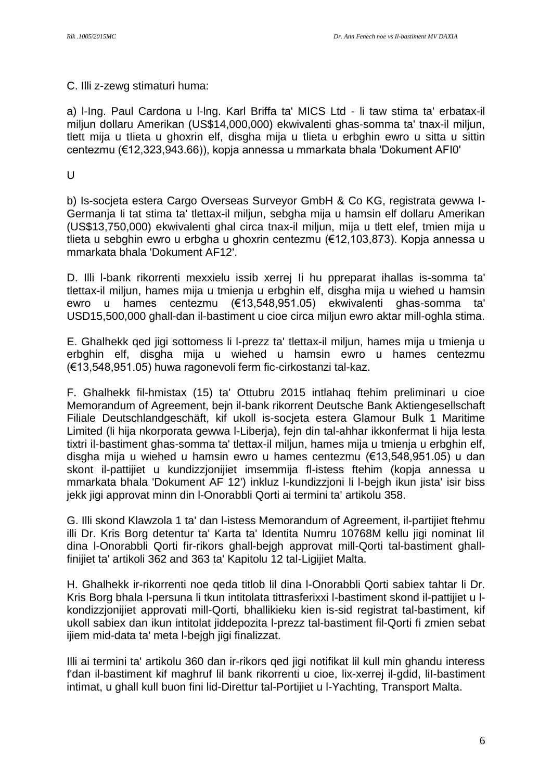#### C. Illi z-zewg stimaturi huma:

a) l-Ing. Paul Cardona u l-lng. Karl Briffa ta' MICS Ltd - li taw stima ta' erbatax-il miljun dollaru Amerikan (US\$14,000,000) ekwivalenti ghas-somma ta' tnax-il miljun, tlett mija u tIieta u ghoxrin elf, disgha mija u tlieta u erbghin ewro u sitta u sittin centezmu (€12,323,943.66)), kopja annessa u mmarkata bhala 'Dokument AFI0'

 $\cup$ 

b) Is-socjeta estera Cargo Overseas Surveyor GmbH & Co KG, registrata gewwa I-Germanja Ii tat stima ta' tlettax-il miljun, sebgha mija u hamsin elf dollaru Amerikan (US\$13,750,000) ekwivalenti ghal circa tnax-il miljun, mija u tlett elef, tmien mija u tlieta u sebghin ewro u erbgha u ghoxrin centezmu (€12,103,873). Kopja annessa u mmarkata bhala 'Dokument AF12'.

D. Illi l-bank rikorrenti mexxielu issib xerrej Ii hu ppreparat ihallas is-somma ta' tlettax-il miljun, hames mija u tmienja u erbghin elf, disgha mija u wiehed u hamsin ewro u hames centezmu (€13,548,951.05) ekwivalenti ghas-somma ta' USD15,500,000 ghall-dan il-bastiment u cioe circa miljun ewro aktar mill-oghla stima.

E. Ghalhekk qed jigi sottomess li l-prezz ta' tlettax-il miljun, hames mija u tmienja u erbghin elf, disgha mija u wiehed u hamsin ewro u hames centezmu (€13,548,951.05) huwa ragonevoli ferm fic-cirkostanzi tal-kaz.

F. Ghalhekk fil-hmistax (15) ta' Ottubru 2015 intlahaq ftehim preliminari u cioe Memorandum of Agreement, bejn il-bank rikorrent Deutsche Bank Aktiengesellschaft Filiale Deutschlandgeschäft, kif ukoll is-socjeta estera Glamour Bulk 1 Maritime Limited (li hija nkorporata gewwa l-Liberja), fejn din tal-ahhar ikkonfermat li hija lesta tixtri il-bastiment ghas-somma ta' tlettax-il miljun, hames mija u tmienja u erbghin elf, disgha mija u wiehed u hamsin ewro u hames centezmu (€13,548,951.05) u dan skont il-pattijiet u kundizzjonijiet imsemmija fl-istess ftehim (kopja annessa u mmarkata bhala 'Dokument AF 12') inkluz l-kundizzjoni li l-bejgh ikun jista' isir biss jekk jigi approvat minn din l-Onorabbli Qorti ai termini ta' artikolu 358.

G. Illi skond Klawzola 1 ta' dan l-istess Memorandum of Agreement, il-partijiet ftehmu illi Dr. Kris Borg detentur ta' Karta ta' Identita Numru 10768M kellu jigi nominat IiI dina l-Onorabbli Qorti fir-rikors ghall-bejgh approvat mill-Qorti tal-bastiment ghallfinijiet ta' artikoli 362 and 363 ta' Kapitolu 12 tal-Ligijiet Malta.

H. Ghalhekk ir-rikorrenti noe qeda titlob lil dina l-Onorabbli Qorti sabiex tahtar li Dr. Kris Borg bhala l-persuna li tkun intitolata tittrasferixxi l-bastiment skond il-pattijiet u lkondizzjonijiet approvati mill-Qorti, bhallikieku kien is-sid registrat tal-bastiment, kif ukoll sabiex dan ikun intitolat jiddepozita l-prezz tal-bastiment fil-Qorti fi zmien sebat ijiem mid-data ta' meta l-bejgh jigi finalizzat.

Illi ai termini ta' artikolu 360 dan ir-rikors qed jigi notifikat lil kull min ghandu interess f'dan il-bastiment kif maghruf lil bank rikorrenti u cioe, lix-xerrej il-gdid, liI-bastiment intimat, u ghall kull buon fini lid-Direttur tal-Portijiet u l-Yachting, Transport Malta.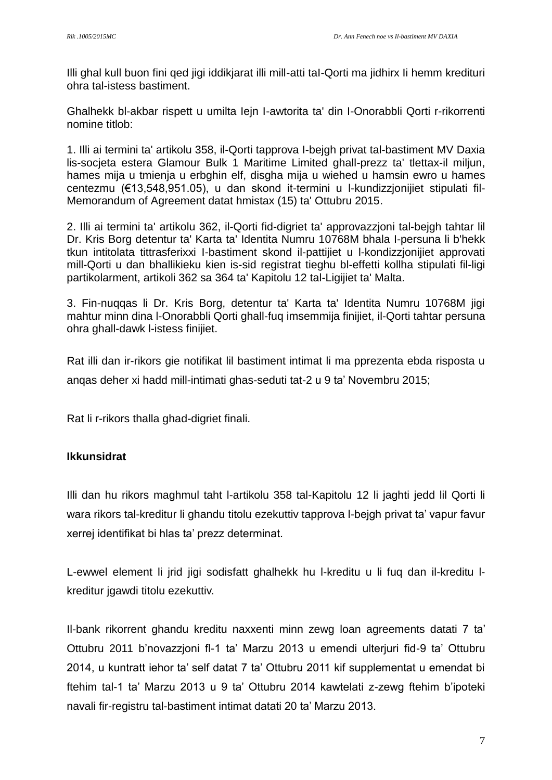Illi ghal kull buon fini qed jigi iddikjarat illi mill-atti taI-Qorti ma jidhirx Ii hemm kredituri ohra tal-istess bastiment.

Ghalhekk bl-akbar rispett u umilta Iejn I-awtorita ta' din I-Onorabbli Qorti r-rikorrenti nomine titlob:

1. Illi ai termini ta' artikolu 358, il-Qorti tapprova I-bejgh privat tal-bastiment MV Daxia lis-socjeta estera Glamour Bulk 1 Maritime Limited ghall-prezz ta' tlettax-il miljun, hames mija u tmienja u erbghin elf, disgha mija u wiehed u hamsin ewro u hames centezmu (€13,548,951.05), u dan skond it-termini u l-kundizzjonijiet stipulati fil-Memorandum of Agreement datat hmistax (15) ta' Ottubru 2015.

2. Illi ai termini ta' artikolu 362, il-Qorti fid-digriet ta' approvazzjoni tal-bejgh tahtar lil Dr. Kris Borg detentur ta' Karta ta' Identita Numru 10768M bhala I-persuna li b'hekk tkun intitolata tittrasferixxi I-bastiment skond il-pattijiet u l-kondizzjonijiet approvati mill-Qorti u dan bhallikieku kien is-sid registrat tieghu bl-effetti kollha stipulati fil-ligi partikolarment, artikoli 362 sa 364 ta' Kapitolu 12 tal-Ligijiet ta' Malta.

3. Fin-nuqqas li Dr. Kris Borg, detentur ta' Karta ta' Identita Numru 10768M jigi mahtur minn dina l-Onorabbli Qorti ghall-fuq imsemmija finijiet, il-Qorti tahtar persuna ohra ghall-dawk l-istess finijiet.

Rat illi dan ir-rikors gie notifikat lil bastiment intimat li ma pprezenta ebda risposta u anqas deher xi hadd mill-intimati ghas-seduti tat-2 u 9 ta' Novembru 2015;

Rat li r-rikors thalla ghad-digriet finali.

# **Ikkunsidrat**

Illi dan hu rikors maghmul taht l-artikolu 358 tal-Kapitolu 12 li jaghti jedd lil Qorti li wara rikors tal-kreditur li ghandu titolu ezekuttiv tapprova l-bejgh privat ta' vapur favur xerrej identifikat bi hlas ta' prezz determinat.

L-ewwel element li jrid jigi sodisfatt ghalhekk hu l-kreditu u li fuq dan il-kreditu lkreditur jgawdi titolu ezekuttiv.

Il-bank rikorrent ghandu kreditu naxxenti minn zewg loan agreements datati 7 ta' Ottubru 2011 b'novazzjoni fl-1 ta' Marzu 2013 u emendi ulterjuri fid-9 ta' Ottubru 2014, u kuntratt iehor ta' self datat 7 ta' Ottubru 2011 kif supplementat u emendat bi ftehim tal-1 ta' Marzu 2013 u 9 ta' Ottubru 2014 kawtelati z-zewg ftehim b'ipoteki navali fir-registru tal-bastiment intimat datati 20 ta' Marzu 2013.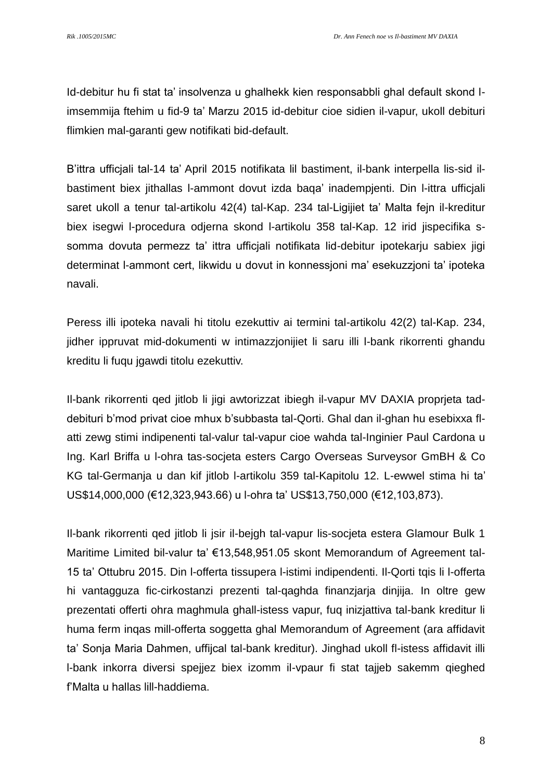Id-debitur hu fi stat ta' insolvenza u ghalhekk kien responsabbli ghal default skond limsemmija ftehim u fid-9 ta' Marzu 2015 id-debitur cioe sidien il-vapur, ukoll debituri flimkien mal-garanti gew notifikati bid-default.

B'ittra ufficjali tal-14 ta' April 2015 notifikata lil bastiment, il-bank interpella lis-sid ilbastiment biex jithallas l-ammont dovut izda baqa' inadempjenti. Din l-ittra ufficjali saret ukoll a tenur tal-artikolu 42(4) tal-Kap. 234 tal-Ligijiet ta' Malta fejn il-kreditur biex isegwi l-procedura odjerna skond l-artikolu 358 tal-Kap. 12 irid jispecifika ssomma dovuta permezz ta' ittra ufficjali notifikata lid-debitur ipotekarju sabiex jigi determinat l-ammont cert, likwidu u dovut in konnessjoni ma' esekuzzjoni ta' ipoteka navali.

Peress illi ipoteka navali hi titolu ezekuttiv ai termini tal-artikolu 42(2) tal-Kap. 234, jidher ippruvat mid-dokumenti w intimazzjonijiet li saru illi l-bank rikorrenti ghandu kreditu li fuqu jgawdi titolu ezekuttiv.

Il-bank rikorrenti qed jitlob li jigi awtorizzat ibiegh il-vapur MV DAXIA proprjeta taddebituri b'mod privat cioe mhux b'subbasta tal-Qorti. Ghal dan il-ghan hu esebixxa flatti zewg stimi indipenenti tal-valur tal-vapur cioe wahda tal-Inginier Paul Cardona u Ing. Karl Briffa u l-ohra tas-socjeta esters Cargo Overseas Surveysor GmBH & Co KG tal-Germanja u dan kif jitlob l-artikolu 359 tal-Kapitolu 12. L-ewwel stima hi ta' US\$14,000,000 (€12,323,943.66) u l-ohra ta' US\$13,750,000 (€12,103,873).

Il-bank rikorrenti qed jitlob li jsir il-bejgh tal-vapur lis-socjeta estera Glamour Bulk 1 Maritime Limited bil-valur ta' €13,548,951.05 skont Memorandum of Agreement tal-15 ta' Ottubru 2015. Din l-offerta tissupera l-istimi indipendenti. Il-Qorti tqis li l-offerta hi vantagguza fic-cirkostanzi prezenti tal-qaghda finanzjarja dinjija. In oltre gew prezentati offerti ohra maghmula ghall-istess vapur, fuq inizjattiva tal-bank kreditur li huma ferm inqas mill-offerta soggetta ghal Memorandum of Agreement (ara affidavit ta' Sonja Maria Dahmen, uffijcal tal-bank kreditur). Jinghad ukoll fl-istess affidavit illi l-bank inkorra diversi spejjez biex izomm il-vpaur fi stat tajjeb sakemm qieghed f'Malta u hallas lill-haddiema.